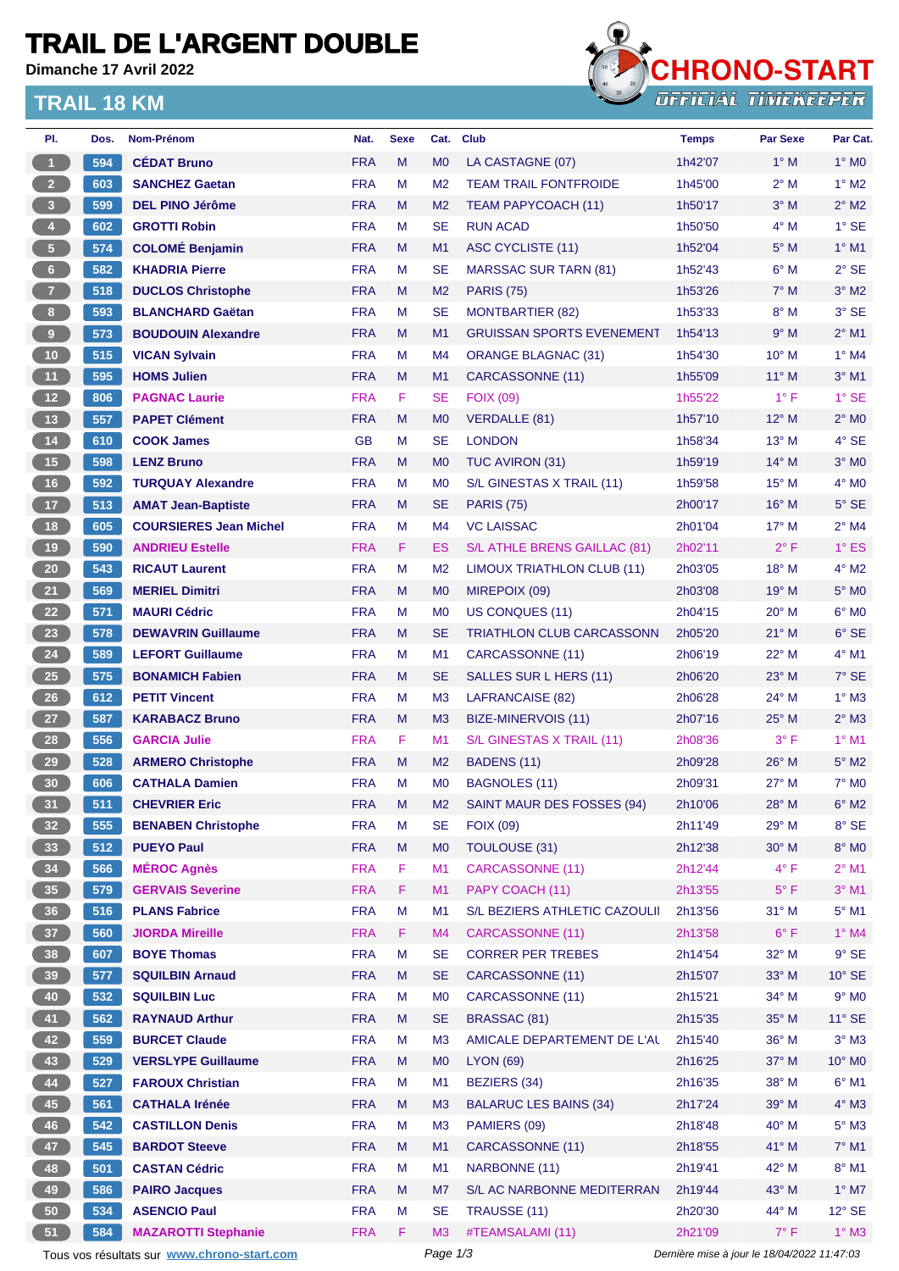## **TRAIL DE L'ARGENT DOUBLE**

**Dimanche 17 Avril 2022**

### **TRAIL 18 KM**



| PI.                     | Dos. | Nom-Prénom                                  | Nat.       | <b>Sexe</b> | Cat.           | <b>Club</b>                      | <b>Temps</b>                                | <b>Par Sexe</b>         | Par Cat.        |
|-------------------------|------|---------------------------------------------|------------|-------------|----------------|----------------------------------|---------------------------------------------|-------------------------|-----------------|
| $\overline{1}$          | 594  | <b>CEDAT Bruno</b>                          | <b>FRA</b> | M           | M <sub>0</sub> | LA CASTAGNE (07)                 | 1h42'07                                     | $1^\circ$ M             | $1^\circ$ MO    |
| $\overline{2}$          | 603  | <b>SANCHEZ Gaetan</b>                       | <b>FRA</b> | M           | M <sub>2</sub> | <b>TEAM TRAIL FONTFROIDE</b>     | 1h45'00                                     | $2^{\circ}$ M           | $1^\circ$ M2    |
| $\overline{\mathbf{3}}$ | 599  | <b>DEL PINO Jérôme</b>                      | <b>FRA</b> | M           | M <sub>2</sub> | <b>TEAM PAPYCOACH (11)</b>       | 1h50'17                                     | $3^\circ$ M             | $2^{\circ}$ M2  |
| $\overline{4}$          | 602  | <b>GROTTI Robin</b>                         | <b>FRA</b> | М           | <b>SE</b>      | <b>RUN ACAD</b>                  | 1h50'50                                     | $4^\circ$ M             | $1^\circ$ SE    |
| 5 <sup>2</sup>          | 574  | <b>COLOMÉ Benjamin</b>                      | <b>FRA</b> | M           | M1             | ASC CYCLISTE (11)                | 1h52'04                                     | $5^\circ$ M             | $1°$ M1         |
| $6\phantom{.}6$         | 582  | <b>KHADRIA Pierre</b>                       | <b>FRA</b> | M           | <b>SE</b>      | <b>MARSSAC SUR TARN (81)</b>     | 1h52'43                                     | $6^\circ$ M             | $2°$ SE         |
| $\overline{7}$          | 518  | <b>DUCLOS Christophe</b>                    | <b>FRA</b> | M           | M <sub>2</sub> | <b>PARIS (75)</b>                | 1h53'26                                     | $7^\circ$ M             | $3°$ M2         |
| 8 <sup>1</sup>          | 593  | <b>BLANCHARD Gaëtan</b>                     | <b>FRA</b> | M           | <b>SE</b>      | <b>MONTBARTIER (82)</b>          | 1h53'33                                     | $8^\circ$ M             | 3° SE           |
| 9                       | 573  | <b>BOUDOUIN Alexandre</b>                   | <b>FRA</b> | M           | M <sub>1</sub> | <b>GRUISSAN SPORTS EVENEMENT</b> | 1h54'13                                     | 9° M                    | $2^{\circ}$ M1  |
| 10                      | 515  | <b>VICAN Sylvain</b>                        | <b>FRA</b> | м           | M <sub>4</sub> | <b>ORANGE BLAGNAC (31)</b>       | 1h54'30                                     | $10^{\circ}$ M          | $1^\circ$ M4    |
| 11                      | 595  | <b>HOMS Julien</b>                          | <b>FRA</b> | M           | M1             | CARCASSONNE (11)                 | 1h55'09                                     | $11^{\circ}$ M          | $3°$ M1         |
| 12                      | 806  | <b>PAGNAC Laurie</b>                        | <b>FRA</b> | F           | <b>SE</b>      | <b>FOIX (09)</b>                 | 1h55'22                                     | $1^{\circ}$ F           | $1°$ SE         |
| 13                      | 557  | <b>PAPET Clément</b>                        | <b>FRA</b> | M           | M <sub>0</sub> | <b>VERDALLE (81)</b>             | 1h57'10                                     | $12^{\circ}$ M          | $2^{\circ}$ MO  |
| 14                      | 610  | <b>COOK James</b>                           | <b>GB</b>  | М           | <b>SE</b>      | <b>LONDON</b>                    | 1h58'34                                     | $13^{\circ}$ M          | $4°$ SE         |
| 15                      | 598  | <b>LENZ Bruno</b>                           | <b>FRA</b> | M           | M <sub>0</sub> | TUC AVIRON (31)                  | 1h59'19                                     | $14^{\circ}$ M          | $3°$ MO         |
| 16                      | 592  | <b>TURQUAY Alexandre</b>                    | <b>FRA</b> | M           | M <sub>0</sub> | S/L GINESTAS X TRAIL (11)        | 1h59'58                                     | 15° M                   | $4^\circ$ MO    |
| 17                      | 513  | <b>AMAT Jean-Baptiste</b>                   | <b>FRA</b> | M           | <b>SE</b>      | <b>PARIS (75)</b>                | 2h00'17                                     | 16° M                   | $5^\circ$ SE    |
| 18                      | 605  | <b>COURSIERES Jean Michel</b>               | <b>FRA</b> | М           | M <sub>4</sub> | <b>VC LAISSAC</b>                | 2h01'04                                     | $17^{\circ}$ M          | $2^{\circ}$ M4  |
| 19                      | 590  | <b>ANDRIEU Estelle</b>                      | <b>FRA</b> | F           | ES             | S/L ATHLE BRENS GAILLAC (81)     | 2h02'11                                     | $2^{\circ}$ F           | $1^\circ$ ES    |
| $20\degree$             | 543  | <b>RICAUT Laurent</b>                       | <b>FRA</b> | M           | M <sub>2</sub> | LIMOUX TRIATHLON CLUB (11)       | 2h03'05                                     | 18° M                   | $4^{\circ}$ M2  |
| 21                      | 569  | <b>MERIEL Dimitri</b>                       | <b>FRA</b> | M           | M <sub>0</sub> | MIREPOIX (09)                    | 2h03'08                                     | $19°$ M                 | $5^\circ$ MO    |
| 22                      | 571  | <b>MAURI Cédric</b>                         | <b>FRA</b> | M           | M <sub>0</sub> | US CONQUES (11)                  | 2h04'15                                     | 20° M                   | $6^{\circ}$ MO  |
| 23                      | 578  | <b>DEWAVRIN Guillaume</b>                   | <b>FRA</b> | M           | <b>SE</b>      | TRIATHLON CLUB CARCASSONN        | 2h05'20                                     | $21^{\circ}$ M          | $6°$ SE         |
| 24                      | 589  | <b>LEFORT Guillaume</b>                     | <b>FRA</b> | M           | M <sub>1</sub> | CARCASSONNE (11)                 | 2h06'19                                     | 22° M                   | 4° M1           |
| 25                      | 575  | <b>BONAMICH Fabien</b>                      | <b>FRA</b> | M           | <b>SE</b>      | SALLES SUR L HERS (11)           | 2h06'20                                     | 23° M                   | 7° SE           |
| 26                      | 612  | <b>PETIT Vincent</b>                        | <b>FRA</b> | M           | M <sub>3</sub> | <b>LAFRANCAISE (82)</b>          | 2h06'28                                     | 24° M                   | $1^\circ$ M3    |
| 27                      | 587  | <b>KARABACZ Bruno</b>                       | <b>FRA</b> | M           | M <sub>3</sub> | BIZE-MINERVOIS (11)              | 2h07'16                                     | $25^{\circ}$ M          | $2^{\circ}$ M3  |
| 28                      | 556  | <b>GARCIA Julie</b>                         | <b>FRA</b> | F           | M1             | S/L GINESTAS X TRAIL (11)        | 2h08'36                                     | $3^{\circ}$ F           | $1°$ M1         |
| 29                      | 528  |                                             |            |             |                |                                  | 2h09'28                                     |                         | $5^\circ$ M2    |
|                         |      | <b>ARMERO Christophe</b>                    | <b>FRA</b> | M<br>М      | M <sub>2</sub> | BADENS (11)                      |                                             | $26^{\circ}$ M<br>27° M | $7°$ MO         |
| 30                      | 606  | <b>CATHALA Damien</b>                       | <b>FRA</b> |             | M <sub>0</sub> | <b>BAGNOLES (11)</b>             | 2h09'31                                     |                         |                 |
| 31                      | 511  | <b>CHEVRIER Eric</b>                        | <b>FRA</b> | M           | M <sub>2</sub> | SAINT MAUR DES FOSSES (94)       | 2h10'06                                     | $28^\circ$ M            | $6^\circ$ M2    |
| 32 <sub>2</sub>         | 555  | <b>BENABEN Christophe</b>                   | <b>FRA</b> | M           | <b>SE</b>      | <b>FOIX (09)</b>                 | 2h11'49                                     | 29° M                   | 8° SE           |
| 33                      | 512  | <b>PUEYO Paul</b>                           | <b>FRA</b> | M           | M <sub>0</sub> | TOULOUSE (31)                    | 2h12'38                                     | 30° M                   | 8° MO           |
| 34                      | 566  | <b>MÉROC Agnès</b>                          | <b>FRA</b> | F           | M1             | <b>CARCASSONNE (11)</b>          | 2h12'44                                     | $4^{\circ}$ F           | $2^{\circ}$ M1  |
| 35 <sub>5</sub>         | 579  | <b>GERVAIS Severine</b>                     | <b>FRA</b> | F           | M1             | PAPY COACH (11)                  | 2h13'55                                     | $5^{\circ}$ F           | $3°$ M1         |
| 36                      | 516  | <b>PLANS Fabrice</b>                        | <b>FRA</b> | M           | M1             | S/L BEZIERS ATHLETIC CAZOULII    | 2h13'56                                     | $31°$ M                 | $5^\circ$ M1    |
| 37 <sup>°</sup>         | 560  | <b>JIORDA Mireille</b>                      | <b>FRA</b> | F.          | M <sub>4</sub> | CARCASSONNE (11)                 | 2h13'58                                     | $6^{\circ}$ F           | $1^\circ$ M4    |
| 38                      | 607  | <b>BOYE Thomas</b>                          | <b>FRA</b> | M           | <b>SE</b>      | <b>CORRER PER TREBES</b>         | 2h14'54                                     | 32° M                   | $9°$ SE         |
| 39                      | 577  | <b>SQUILBIN Arnaud</b>                      | <b>FRA</b> | M           | <b>SE</b>      | CARCASSONNE (11)                 | 2h15'07                                     | 33° M                   | $10^{\circ}$ SE |
| 40                      | 532  | <b>SQUILBIN Luc</b>                         | <b>FRA</b> | М           | M <sub>0</sub> | CARCASSONNE (11)                 | 2h15'21                                     | 34° M                   | $9°$ MO         |
| 41                      | 562  | <b>RAYNAUD Arthur</b>                       | <b>FRA</b> | M           | <b>SE</b>      | BRASSAC (81)                     | 2h15'35                                     | 35° M                   | $11^{\circ}$ SE |
| 42                      | 559  | <b>BURCET Claude</b>                        | <b>FRA</b> | M           | M <sub>3</sub> | AMICALE DEPARTEMENT DE L'AU      | 2h15'40                                     | 36° M                   | $3°$ M $3$      |
| 43                      | 529  | <b>VERSLYPE Guillaume</b>                   | <b>FRA</b> | M           | M <sub>0</sub> | <b>LYON (69)</b>                 | 2h16'25                                     | 37° M                   | $10^{\circ}$ MO |
| 44                      | 527  | <b>FAROUX Christian</b>                     | <b>FRA</b> | M           | M1             | <b>BEZIERS (34)</b>              | 2h16'35                                     | 38° M                   | $6^{\circ}$ M1  |
| 45                      | 561  | <b>CATHALA Irénée</b>                       | <b>FRA</b> | M           | M <sub>3</sub> | <b>BALARUC LES BAINS (34)</b>    | 2h17'24                                     | 39° M                   | $4^\circ$ M3    |
| 46                      | 542  | <b>CASTILLON Denis</b>                      | <b>FRA</b> | M           | M <sub>3</sub> | PAMIERS (09)                     | 2h18'48                                     | 40° M                   | $5^\circ$ M3    |
| 47                      | 545  | <b>BARDOT Steeve</b>                        | <b>FRA</b> | M           | M1             | CARCASSONNE (11)                 | 2h18'55                                     | 41° M                   | $7^\circ$ M1    |
| 48                      | 501  | <b>CASTAN Cédric</b>                        | <b>FRA</b> | M           | M1             | NARBONNE (11)                    | 2h19'41                                     | 42° M                   | $8^\circ$ M1    |
| 49                      | 586  | <b>PAIRO Jacques</b>                        | <b>FRA</b> | M           | M7             | S/L AC NARBONNE MEDITERRAN       | 2h19'44                                     | 43° M                   | $1^\circ$ M7    |
| 50                      | 534  | <b>ASENCIO Paul</b>                         | <b>FRA</b> | M           | <b>SE</b>      | TRAUSSE (11)                     | 2h20'30                                     | 44° M                   | $12^{\circ}$ SE |
| 51                      | 584  | <b>MAZAROTTI Stephanie</b>                  | <b>FRA</b> | F.          | M <sub>3</sub> | #TEAMSALAMI (11)                 | 2h21'09                                     | $7^\circ$ F             | $1^\circ$ M3    |
|                         |      | Tous vos résultats sur www.chrono-start.com |            |             | Page 1/3       |                                  | Dernière mise à jour le 18/04/2022 11:47:03 |                         |                 |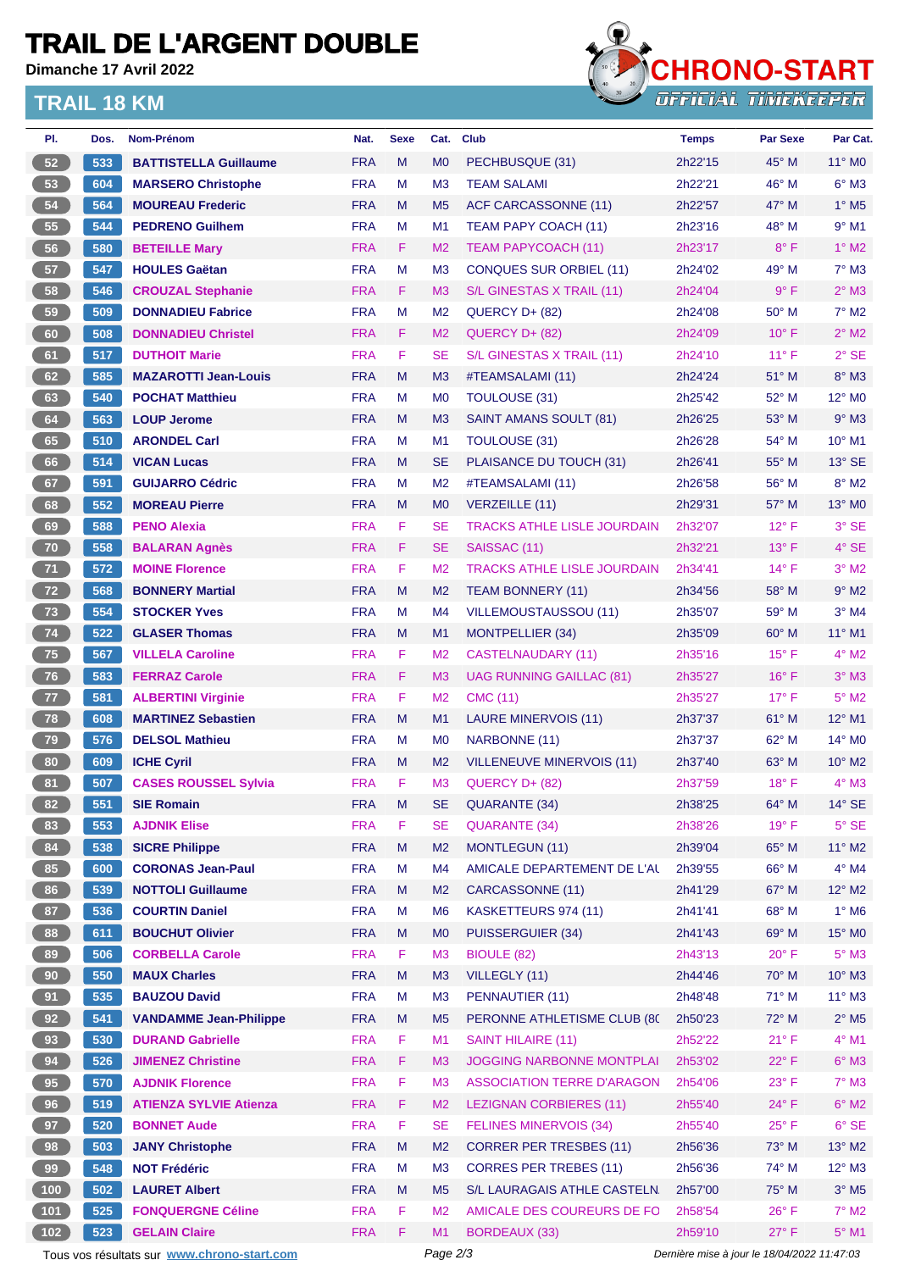## **TRAIL DE L'ARGENT DOUBLE**

**Dimanche 17 Avril 2022**

### **TRAIL 18 KM**



| PI.   | Dos. | Nom-Prénom                                  | Nat.       | <b>Sexe</b> | Cat.           | <b>Club</b>                                 | <b>Temps</b>                                | <b>Par Sexe</b> | Par Cat.                   |  |
|-------|------|---------------------------------------------|------------|-------------|----------------|---------------------------------------------|---------------------------------------------|-----------------|----------------------------|--|
| 52    | 533  | <b>BATTISTELLA Guillaume</b>                | <b>FRA</b> | M           | M <sub>0</sub> | PECHBUSQUE (31)                             | 2h22'15                                     | 45° M           | 11° MO                     |  |
| 53    | 604  | <b>MARSERO Christophe</b>                   | <b>FRA</b> | м           | M <sub>3</sub> | <b>TEAM SALAMI</b>                          | 2h22'21                                     | 46° M           | $6^\circ$ M3               |  |
| 54    | 564  | <b>MOUREAU Frederic</b>                     | <b>FRA</b> | M           | M <sub>5</sub> | <b>ACF CARCASSONNE (11)</b>                 | 2h22'57                                     | 47° M           | $1^\circ$ M <sub>5</sub>   |  |
| 55    | 544  | <b>PEDRENO Guilhem</b>                      | <b>FRA</b> | М           | M1             | TEAM PAPY COACH (11)                        | 2h23'16                                     | 48° M           | $9°$ M1                    |  |
| 56    | 580  | <b>BETEILLE Mary</b>                        | <b>FRA</b> | F           | M <sub>2</sub> | TEAM PAPYCOACH (11)                         | 2h23'17                                     | $8^{\circ}$ F   | $1^\circ$ M2               |  |
| 57    | 547  | <b>HOULES Gaëtan</b>                        | <b>FRA</b> | M           | M <sub>3</sub> | <b>CONQUES SUR ORBIEL (11)</b>              | 2h24'02                                     | 49° M           | $7°$ M3                    |  |
| 58    | 546  | <b>CROUZAL Stephanie</b>                    | <b>FRA</b> | F.          | M <sub>3</sub> | S/L GINESTAS X TRAIL (11)                   | 2h24'04                                     | $9^{\circ}$ F   | $2^{\circ}$ M3             |  |
| 59    | 509  | <b>DONNADIEU Fabrice</b>                    | <b>FRA</b> | M           | M <sub>2</sub> | QUERCY D+ (82)                              | 2h24'08                                     | $50^\circ$ M    | $7^\circ$ M2               |  |
| 60    | 508  | <b>DONNADIEU Christel</b>                   | <b>FRA</b> | F           | M <sub>2</sub> | QUERCY D+ (82)                              | 2h24'09                                     | $10^{\circ}$ F  | $2^{\circ}$ M2             |  |
| 61    | 517  | <b>DUTHOIT Marie</b>                        | <b>FRA</b> | F           | <b>SE</b>      | S/L GINESTAS X TRAIL (11)                   | 2h24'10                                     | $11^{\circ}$ F  | $2°$ SE                    |  |
| 62    | 585  | <b>MAZAROTTI Jean-Louis</b>                 | <b>FRA</b> | M           | M <sub>3</sub> | #TEAMSALAMI (11)                            | 2h24'24                                     | 51° M           | $8^\circ$ M3               |  |
| 63    | 540  | <b>POCHAT Matthieu</b>                      | <b>FRA</b> | м           | M <sub>0</sub> | <b>TOULOUSE (31)</b>                        | 2h25'42                                     | 52° M           | 12° M <sub>0</sub>         |  |
| 64    | 563  | <b>LOUP Jerome</b>                          | <b>FRA</b> | M           | M <sub>3</sub> | <b>SAINT AMANS SOULT (81)</b>               | 2h26'25                                     | $53^\circ$ M    | $9°$ M3                    |  |
| 65    | 510  | <b>ARONDEL Carl</b>                         | <b>FRA</b> | м           | M1             | TOULOUSE (31)                               | 2h26'28                                     | 54° M           | $10^{\circ}$ M1            |  |
| 66    | 514  | <b>VICAN Lucas</b>                          | <b>FRA</b> | M           | <b>SE</b>      | PLAISANCE DU TOUCH (31)                     | 2h26'41                                     | $55^{\circ}$ M  | $13^\circ$ SE              |  |
| 67    | 591  | <b>GUIJARRO Cédric</b>                      | <b>FRA</b> | м           | M <sub>2</sub> | #TEAMSALAMI (11)                            | 2h26'58                                     | 56° M           | $8^\circ$ M2               |  |
| 68    | 552  | <b>MOREAU Pierre</b>                        | <b>FRA</b> | M           | M <sub>0</sub> | <b>VERZEILLE (11)</b>                       | 2h29'31                                     | $57^\circ$ M    | 13° MO                     |  |
| 69    | 588  | <b>PENO Alexia</b>                          | <b>FRA</b> | F           | <b>SE</b>      | <b>TRACKS ATHLE LISLE JOURDAIN</b>          | 2h32'07                                     | $12^{\circ}$ F  | 3° SE                      |  |
| 70    | 558  | <b>BALARAN Agnès</b>                        | <b>FRA</b> | F           | <b>SE</b>      | SAISSAC (11)                                | 2h32'21                                     | $13^{\circ}$ F  | $4°$ SE                    |  |
| 71    | 572  | <b>MOINE Florence</b>                       | <b>FRA</b> | F           | M <sub>2</sub> | <b>TRACKS ATHLE LISLE JOURDAIN</b>          | 2h34'41                                     | $14^{\circ}$ F  | $3°$ M2                    |  |
| 72    | 568  | <b>BONNERY Martial</b>                      | <b>FRA</b> | M           | M <sub>2</sub> | <b>TEAM BONNERY (11)</b>                    | 2h34'56                                     | 58° M           | $9°$ M2                    |  |
| 73    | 554  | <b>STOCKER Yves</b>                         | <b>FRA</b> | м           | M <sub>4</sub> | <b>VILLEMOUSTAUSSOU (11)</b>                | 2h35'07                                     | $59^\circ$ M    | $3°$ M4                    |  |
| 74    | 522  | <b>GLASER Thomas</b>                        | <b>FRA</b> | M           | M1             | <b>MONTPELLIER (34)</b>                     | 2h35'09                                     | $60^\circ$ M    | 11° M1                     |  |
| 75    | 567  | <b>VILLELA Caroline</b>                     | <b>FRA</b> | F           | M <sub>2</sub> | <b>CASTELNAUDARY (11)</b>                   | 2h35'16                                     | $15^{\circ}$ F  | $4^\circ$ M2               |  |
| 76    | 583  | <b>FERRAZ Carole</b>                        | <b>FRA</b> | F.          | M <sub>3</sub> | <b>UAG RUNNING GAILLAC (81)</b>             | 2h35'27                                     | $16^{\circ}$ F  | $3^\circ$ M3               |  |
| $77$  | 581  | <b>ALBERTINI Virginie</b>                   | <b>FRA</b> | F           | M <sub>2</sub> | <b>CMC (11)</b>                             | 2h35'27                                     | $17^{\circ}$ F  | $5^\circ$ M2               |  |
| 78    | 608  | <b>MARTINEZ Sebastien</b>                   | <b>FRA</b> | M           | M1             | <b>LAURE MINERVOIS (11)</b>                 | 2h37'37                                     | 61° M           | 12° M1                     |  |
| 79    | 576  | <b>DELSOL Mathieu</b>                       | <b>FRA</b> | M           | M <sub>0</sub> | NARBONNE (11)                               | 2h37'37                                     | $62^{\circ}$ M  | 14° M0                     |  |
| 80    | 609  |                                             | <b>FRA</b> | M           | M <sub>2</sub> |                                             | 2h37'40                                     | $63^\circ$ M    | $10^{\circ}$ M2            |  |
| 81    |      | <b>ICHE Cyril</b>                           | <b>FRA</b> | F           | M <sub>3</sub> | VILLENEUVE MINERVOIS (11)<br>QUERCY D+ (82) | 2h37'59                                     | $18^{\circ}$ F  | $4^\circ$ M3               |  |
| 82    | 507  | <b>CASES ROUSSEL Sylvia</b>                 |            |             |                |                                             |                                             |                 |                            |  |
|       | 551  | <b>SIE Romain</b>                           | <b>FRA</b> | M           | SE             | <b>QUARANTE (34)</b>                        | 2h38'25                                     | $64^{\circ}$ M  | $14^{\circ}$ SE            |  |
| 83    | 553  | <b>AJDNIK Elise</b>                         | <b>FRA</b> | F           | <b>SE</b>      | <b>QUARANTE (34)</b>                        | 2h38'26                                     | $19°$ F         | $5^\circ$ SE               |  |
| 84    | 538  | <b>SICRE Philippe</b>                       | <b>FRA</b> | M           | M <sub>2</sub> | <b>MONTLEGUN (11)</b>                       | 2h39'04                                     | 65° M           | $11^{\circ}$ M2            |  |
| 85    | 600  | <b>CORONAS Jean-Paul</b>                    | <b>FRA</b> | M           | M <sub>4</sub> | AMICALE DEPARTEMENT DE L'AL                 | 2h39'55                                     | 66° M           | $4^\circ$ M4               |  |
| 86    | 539  | <b>NOTTOLI Guillaume</b>                    | <b>FRA</b> | M           | M <sub>2</sub> | CARCASSONNE (11)                            | 2h41'29                                     | 67° M           | $12^{\circ}$ M2            |  |
| 87    | 536  | <b>COURTIN Daniel</b>                       | <b>FRA</b> | М           | M <sub>6</sub> | KASKETTEURS 974 (11)                        | 2h41'41                                     | 68° M           | $1^\circ$ M6               |  |
| 88    | 611  | <b>BOUCHUT Olivier</b>                      | <b>FRA</b> | M           | M <sub>0</sub> | <b>PUISSERGUIER (34)</b>                    | 2h41'43                                     | 69° M           | 15° MO                     |  |
| 89    | 506  | <b>CORBELLA Carole</b>                      | <b>FRA</b> | F           | M <sub>3</sub> | BIOULE (82)                                 | 2h43'13                                     | $20^{\circ}$ F  | $5^\circ$ M3               |  |
| 90    | 550  | <b>MAUX Charles</b>                         | <b>FRA</b> | M           | M <sub>3</sub> | VILLEGLY (11)                               | 2h44'46                                     | 70° M           | $10^{\circ}$ M3            |  |
| 91    | 535  | <b>BAUZOU David</b>                         | <b>FRA</b> | М           | M <sub>3</sub> | PENNAUTIER (11)                             | 2h48'48                                     | 71° M           | $11^{\circ}$ M3            |  |
| 92    | 541  | <b>VANDAMME Jean-Philippe</b>               | <b>FRA</b> | M           | M <sub>5</sub> | PERONNE ATHLETISME CLUB (80)                | 2h50'23                                     | 72° M           | $2^{\circ}$ M <sub>5</sub> |  |
| 93    | 530  | <b>DURAND Gabrielle</b>                     | <b>FRA</b> | F           | M1             | <b>SAINT HILAIRE (11)</b>                   | 2h52'22                                     | $21^{\circ}$ F  | $4^{\circ}$ M1             |  |
| 94    | 526  | <b>JIMENEZ Christine</b>                    | <b>FRA</b> | F           | M <sub>3</sub> | <b>JOGGING NARBONNE MONTPLAI</b>            | 2h53'02                                     | 22°F            | $6^\circ$ M3               |  |
| 95    | 570  | <b>AJDNIK Florence</b>                      | <b>FRA</b> | F           | M <sub>3</sub> | <b>ASSOCIATION TERRE D'ARAGON</b>           | 2h54'06                                     | $23^{\circ}$ F  | $7^\circ$ M3               |  |
| 96    | 519  | <b>ATIENZA SYLVIE Atienza</b>               | <b>FRA</b> | F           | M <sub>2</sub> | <b>LEZIGNAN CORBIERES (11)</b>              | 2h55'40                                     | $24^{\circ}$ F  | $6^\circ$ M2               |  |
| 97    | 520  | <b>BONNET Aude</b>                          | <b>FRA</b> | F           | <b>SE</b>      | <b>FELINES MINERVOIS (34)</b>               | 2h55'40                                     | $25^{\circ}$ F  | $6°$ SE                    |  |
| 98    | 503  | <b>JANY Christophe</b>                      | <b>FRA</b> | M           | M <sub>2</sub> | <b>CORRER PER TRESBES (11)</b>              | 2h56'36                                     | 73° M           | 13° M2                     |  |
| 99    | 548  | <b>NOT Frédéric</b>                         | <b>FRA</b> | М           | M <sub>3</sub> | <b>CORRES PER TREBES (11)</b>               | 2h56'36                                     | 74° M           | $12^{\circ}$ M3            |  |
| (100) | 502  | <b>LAURET Albert</b>                        | <b>FRA</b> | M           | M <sub>5</sub> | S/L LAURAGAIS ATHLE CASTELN                 | 2h57'00                                     | 75° M           | $3°$ M <sub>5</sub>        |  |
| $101$ | 525  | <b>FONQUERGNE Céline</b>                    | <b>FRA</b> | F           | M <sub>2</sub> | AMICALE DES COUREURS DE FO                  | 2h58'54                                     | $26^{\circ}$ F  | $7^\circ$ M2               |  |
| 102   | 523  | <b>GELAIN Claire</b>                        | <b>FRA</b> | F           | M1             | <b>BORDEAUX (33)</b>                        | 2h59'10                                     | $27^\circ$ F    | $5^\circ$ M1               |  |
|       |      | Tous vos résultats sur www.chrono-start.com |            |             | Page 2/3       |                                             | Dernière mise à jour le 18/04/2022 11:47:03 |                 |                            |  |